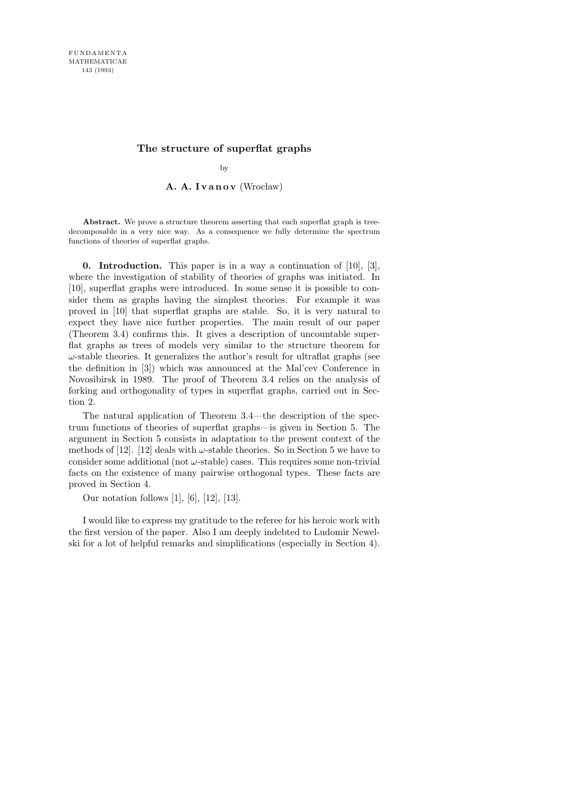## **The structure of superflat graphs**

by

A. A. Ivanov (Wrocław)

Abstract. We prove a structure theorem asserting that each superflat graph is treedecomposable in a very nice way. As a consequence we fully determine the spectrum functions of theories of superflat graphs.

**0. Introduction.** This paper is in a way a continuation of  $[10]$ ,  $[3]$ , where the investigation of stability of theories of graphs was initiated. In [10], superflat graphs were introduced. In some sense it is possible to consider them as graphs having the simplest theories. For example it was proved in [10] that superflat graphs are stable. So, it is very natural to expect they have nice further properties. The main result of our paper (Theorem 3.4) confirms this. It gives a description of uncountable superflat graphs as trees of models very similar to the structure theorem for  $\omega$ -stable theories. It generalizes the author's result for ultraflat graphs (see the definition in [3]) which was announced at the Mal'cev Conference in Novosibirsk in 1989. The proof of Theorem 3.4 relies on the analysis of forking and orthogonality of types in superflat graphs, carried out in Section 2.

The natural application of Theorem 3.4—the description of the spectrum functions of theories of superflat graphs—is given in Section 5. The argument in Section 5 consists in adaptation to the present context of the methods of [12]. [12] deals with  $\omega$ -stable theories. So in Section 5 we have to consider some additional (not  $\omega$ -stable) cases. This requires some non-trivial facts on the existence of many pairwise orthogonal types. These facts are proved in Section 4.

Our notation follows [1], [6], [12], [13].

I would like to express my gratitude to the referee for his heroic work with the first version of the paper. Also I am deeply indebted to Ludomir Newelski for a lot of helpful remarks and simplifications (especially in Section 4).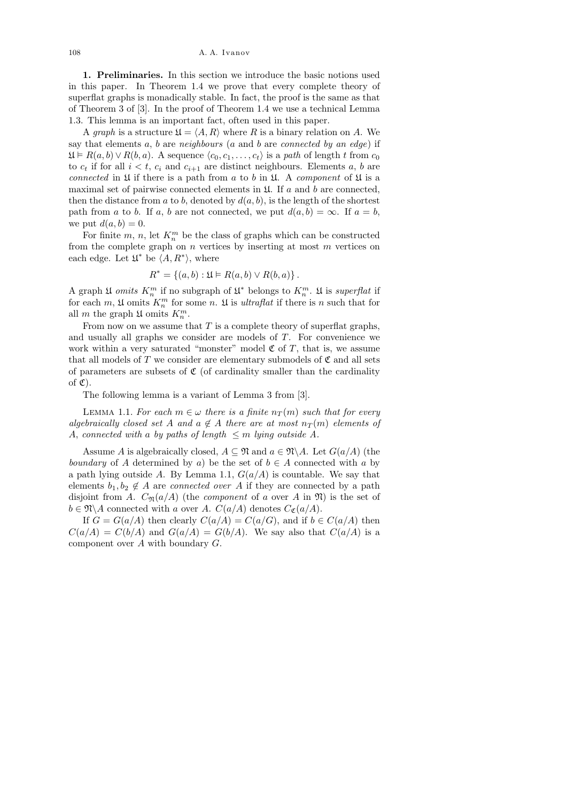108 A. A. Ivanov

1. Preliminaries. In this section we introduce the basic notions used in this paper. In Theorem 1.4 we prove that every complete theory of superflat graphs is monadically stable. In fact, the proof is the same as that of Theorem 3 of [3]. In the proof of Theorem 1.4 we use a technical Lemma 1.3. This lemma is an important fact, often used in this paper.

A graph is a structure  $\mathfrak{U} = \langle A, R \rangle$  where R is a binary relation on A. We say that elements  $a, b$  are neighbours ( $a$  and  $b$  are connected by an edge) if  $\mathfrak{U} \models R(a, b) \lor R(b, a)$ . A sequence  $\langle c_0, c_1, \ldots, c_t \rangle$  is a path of length t from  $c_0$ to  $c_t$  if for all  $i < t$ ,  $c_i$  and  $c_{i+1}$  are distinct neighbours. Elements a, b are connected in  $\mathfrak U$  if there is a path from a to b in  $\mathfrak U$ . A component of  $\mathfrak U$  is a maximal set of pairwise connected elements in  $\mathfrak{U}$ . If a and b are connected, then the distance from a to b, denoted by  $d(a, b)$ , is the length of the shortest path from a to b. If a, b are not connected, we put  $d(a, b) = \infty$ . If  $a = b$ , we put  $d(a, b) = 0$ .

For finite  $m, n$ , let  $K_n^m$  be the class of graphs which can be constructed from the complete graph on  $n$  vertices by inserting at most  $m$  vertices on each edge. Let  $\mathfrak{U}^*$  be  $\langle A, R^* \rangle$ , where

$$
R^* = \{(a, b) : \mathfrak{U} \models R(a, b) \lor R(b, a)\}.
$$

A graph  $\mathfrak{U}$  omits  $K_n^m$  if no subgraph of  $\mathfrak{U}^*$  belongs to  $K_n^m$ .  $\mathfrak{U}$  is superflat if for each  $m$ ,  $\mathfrak U$  omits  $K_n^m$  for some n.  $\mathfrak U$  is *ultraflat* if there is n such that for all m the graph  $\mathfrak{U}$  omits  $K_n^m$ .

From now on we assume that  $T$  is a complete theory of superflat graphs, and usually all graphs we consider are models of T. For convenience we work within a very saturated "monster" model  $\mathfrak C$  of T, that is, we assume that all models of T we consider are elementary submodels of  $\mathfrak C$  and all sets of parameters are subsets of  $\mathfrak C$  (of cardinality smaller than the cardinality of  $\mathfrak{C}$ ).

The following lemma is a variant of Lemma 3 from [3].

LEMMA 1.1. For each  $m \in \omega$  there is a finite  $n_T(m)$  such that for every algebraically closed set A and  $a \notin A$  there are at most  $n_T(m)$  elements of A, connected with a by paths of length  $\leq m$  lying outside A.

Assume A is algebraically closed,  $A \subseteq \mathfrak{N}$  and  $a \in \mathfrak{N} \backslash A$ . Let  $G(a/A)$  (the boundary of A determined by a) be the set of  $b \in A$  connected with a by a path lying outside A. By Lemma 1.1,  $G(a/A)$  is countable. We say that elements  $b_1, b_2 \notin A$  are *connected over* A if they are connected by a path disjoint from A.  $C_{\mathfrak{N}}(a/A)$  (the *component* of a over A in  $\mathfrak{N}$ ) is the set of  $b \in \mathfrak{N} \backslash A$  connected with a over A.  $C(a/A)$  denotes  $C_{\mathfrak{C}}(a/A)$ .

If  $G = G(a/A)$  then clearly  $C(a/A) = C(a/G)$ , and if  $b \in C(a/A)$  then  $C(a/A) = C(b/A)$  and  $G(a/A) = G(b/A)$ . We say also that  $C(a/A)$  is a component over A with boundary G.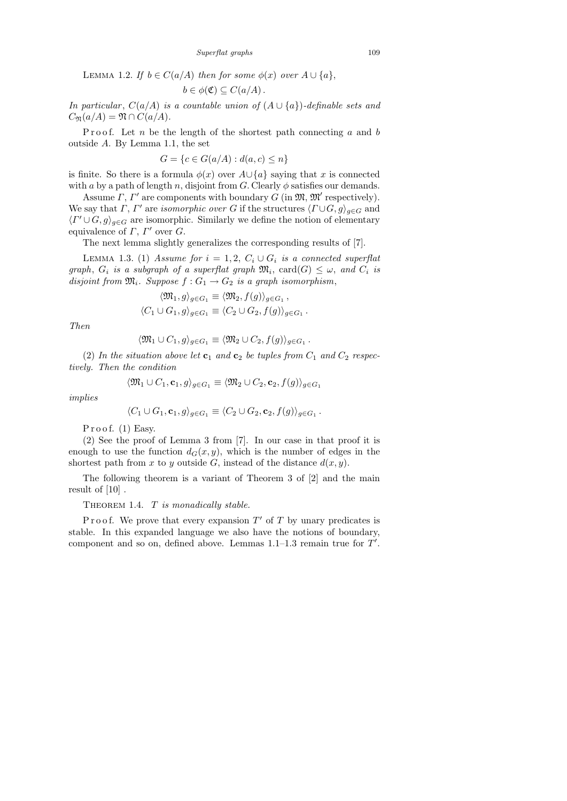LEMMA 1.2. If  $b \in C(a/A)$  then for some  $\phi(x)$  over  $A \cup \{a\}$ ,

$$
b\in\phi(\mathfrak{C})\subseteq C(a/A).
$$

In particular,  $C(a/A)$  is a countable union of  $(A \cup \{a\})$ -definable sets and  $C_{\mathfrak{N}}(a/A) = \mathfrak{N} \cap C(a/A).$ 

Proof. Let  $n$  be the length of the shortest path connecting  $a$  and  $b$ outside A. By Lemma 1.1, the set

$$
G = \{c \in G(a/A) : d(a, c) \le n\}
$$

is finite. So there is a formula  $\phi(x)$  over  $A \cup \{a\}$  saying that x is connected with a by a path of length n, disjoint from G. Clearly  $\phi$  satisfies our demands.

Assume  $\Gamma$ ,  $\Gamma'$  are components with boundary G (in  $\mathfrak{M}, \mathfrak{M}'$  respectively). We say that  $\Gamma$ ,  $\Gamma'$  are *isomorphic over* G if the structures  $\langle \Gamma \cup G, g \rangle_{g \in G}$  and  $\langle \Gamma' \cup G, g \rangle_{g \in G}$  are isomorphic. Similarly we define the notion of elementary equivalence of  $\Gamma$ ,  $\Gamma'$  over  $G$ .

The next lemma slightly generalizes the corresponding results of [7].

LEMMA 1.3. (1) Assume for  $i = 1, 2, C_i \cup G_i$  is a connected superflat graph,  $G_i$  is a subgraph of a superflat graph  $\mathfrak{M}_i$ ,  $card(G) \leq \omega$ , and  $C_i$  is disjoint from  $\mathfrak{M}_i$ . Suppose  $f: G_1 \rightarrow G_2$  is a graph isomorphism,

$$
\langle \mathfrak{M}_1, g \rangle_{g \in G_1} \equiv \langle \mathfrak{M}_2, f(g) \rangle_{g \in G_1},
$$
  

$$
\langle C_1 \cup G_1, g \rangle_{g \in G_1} \equiv \langle C_2 \cup G_2, f(g) \rangle_{g \in G_1}.
$$

Then

$$
\langle \mathfrak{M}_1 \cup C_1, g \rangle_{g \in G_1} \equiv \langle \mathfrak{M}_2 \cup C_2, f(g) \rangle_{g \in G_1}.
$$

(2) In the situation above let  $c_1$  and  $c_2$  be tuples from  $C_1$  and  $C_2$  respectively. Then the condition

$$
\langle \mathfrak{M}_1 \cup C_1, \mathbf{c}_1, g \rangle_{g \in G_1} \equiv \langle \mathfrak{M}_2 \cup C_2, \mathbf{c}_2, f(g) \rangle_{g \in G_1}
$$

implies

$$
\langle C_1 \cup G_1, \mathbf{c}_1, g \rangle_{g \in G_1} \equiv \langle C_2 \cup G_2, \mathbf{c}_2, f(g) \rangle_{g \in G_1}.
$$

Proof.  $(1)$  Easy.

(2) See the proof of Lemma 3 from [7]. In our case in that proof it is enough to use the function  $d_G(x, y)$ , which is the number of edges in the shortest path from x to y outside G, instead of the distance  $d(x, y)$ .

The following theorem is a variant of Theorem 3 of [2] and the main result of [10] .

THEOREM 1.4.  $T$  is monadically stable.

Proof. We prove that every expansion  $T'$  of T by unary predicates is stable. In this expanded language we also have the notions of boundary, component and so on, defined above. Lemmas  $1.1-1.3$  remain true for  $T'$ .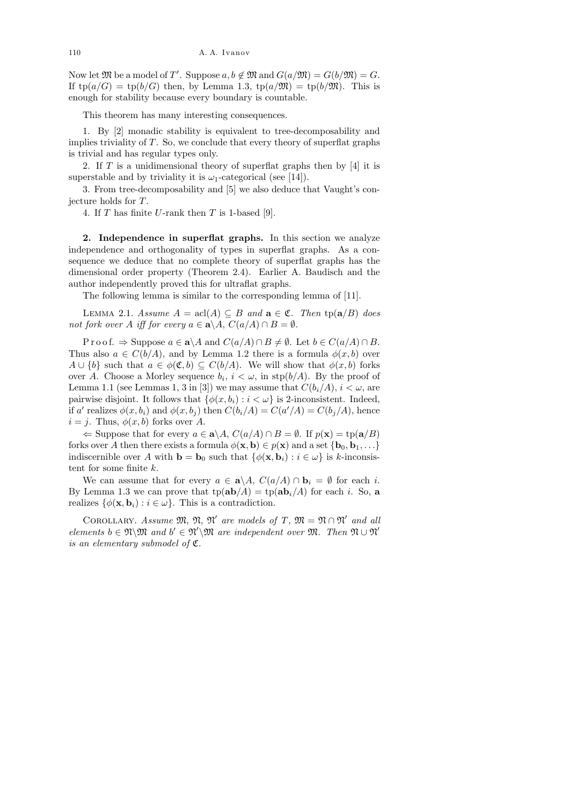110 A. A. Ivanov

Now let  $\mathfrak{M}$  be a model of T'. Suppose  $a, b \notin \mathfrak{M}$  and  $G(a/\mathfrak{M}) = G(b/\mathfrak{M}) = G$ . If  $tp(a/G) = tp(b/G)$  then, by Lemma 1.3,  $tp(a/\mathfrak{M}) = tp(b/\mathfrak{M})$ . This is enough for stability because every boundary is countable.

This theorem has many interesting consequences.

1. By [2] monadic stability is equivalent to tree-decomposability and implies triviality of  $T$ . So, we conclude that every theory of superflat graphs is trivial and has regular types only.

2. If T is a unidimensional theory of superflat graphs then by  $[4]$  it is superstable and by triviality it is  $\omega_1$ -categorical (see [14]).

3. From tree-decomposability and [5] we also deduce that Vaught's conjecture holds for T.

4. If  $T$  has finite  $U$ -rank then  $T$  is 1-based [9].

2. Independence in superflat graphs. In this section we analyze independence and orthogonality of types in superflat graphs. As a consequence we deduce that no complete theory of superflat graphs has the dimensional order property (Theorem 2.4). Earlier A. Baudisch and the author independently proved this for ultraflat graphs.

The following lemma is similar to the corresponding lemma of [11].

LEMMA 2.1. Assume  $A = \text{acl}(A) \subseteq B$  and  $\mathbf{a} \in \mathfrak{C}$ . Then  $\text{tp}(\mathbf{a}/B)$  does not fork over A iff for every  $a \in \mathbf{a} \setminus A$ ,  $C(a/A) \cap B = \emptyset$ .

P r o o f.  $\Rightarrow$  Suppose  $a \in \mathbf{a} \setminus A$  and  $C(a/A) \cap B \neq \emptyset$ . Let  $b \in C(a/A) \cap B$ . Thus also  $a \in C(b/A)$ , and by Lemma 1.2 there is a formula  $\phi(x, b)$  over  $A \cup \{b\}$  such that  $a \in \phi(\mathfrak{C}, b) \subseteq C(b/A)$ . We will show that  $\phi(x, b)$  forks over A. Choose a Morley sequence  $b_i$ ,  $i < \omega$ , in  $\text{stp}(b/A)$ . By the proof of Lemma 1.1 (see Lemmas 1, 3 in [3]) we may assume that  $C(b_i/A)$ ,  $i < \omega$ , are pairwise disjoint. It follows that  $\{\phi(x, b_i) : i < \omega\}$  is 2-inconsistent. Indeed, if a' realizes  $\phi(x, b_i)$  and  $\phi(x, b_j)$  then  $C(b_i/A) = C(a'/A) = C(b_j/A)$ , hence  $i = j$ . Thus,  $\phi(x, b)$  forks over A.

 $\Leftarrow$  Suppose that for every  $a \in \mathbf{a} \setminus A$ ,  $C(a/A) \cap B = \emptyset$ . If  $p(\mathbf{x}) = \text{tp}(\mathbf{a}/B)$ forks over A then there exists a formula  $\phi(\mathbf{x}, \mathbf{b}) \in p(\mathbf{x})$  and a set  $\{b_0, b_1, \ldots\}$ indiscernible over A with **b** = **b**<sub>0</sub> such that  $\{\phi(\mathbf{x}, \mathbf{b}_i) : i \in \omega\}$  is k-inconsistent for some finite k.

We can assume that for every  $a \in \mathbf{a} \backslash A$ ,  $C(a/A) \cap \mathbf{b}_i = \emptyset$  for each i. By Lemma 1.3 we can prove that  $tp(ab/A) = tp(ab<sub>i</sub>/A)$  for each i. So, a realizes  $\{\phi(\mathbf{x}, \mathbf{b}_i) : i \in \omega\}$ . This is a contradiction.

COROLLARY. Assume  $\mathfrak{M}, \mathfrak{N}'$  are models of T,  $\mathfrak{M} = \mathfrak{N} \cap \mathfrak{N}'$  and all elements  $b \in \mathfrak{N}\backslash \mathfrak{M}$  and  $b' \in \mathfrak{N}'\backslash \mathfrak{M}$  are independent over  $\mathfrak{M}$ . Then  $\mathfrak{N} \cup \mathfrak{N}'$ is an elementary submodel of  $\mathfrak{C}.$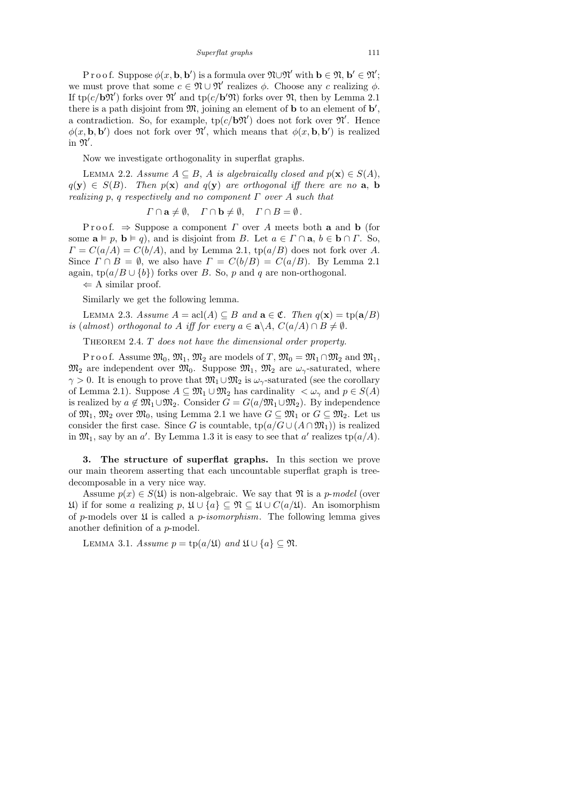*Superflat graphs* 111

Proof. Suppose  $\phi(x, \mathbf{b}, \mathbf{b}')$  is a formula over  $\mathfrak{N} \cup \mathfrak{N}'$  with  $\mathbf{b} \in \mathfrak{N}, \mathbf{b}' \in \mathfrak{N}'$ ; we must prove that some  $c \in \mathfrak{N} \cup \mathfrak{N}'$  realizes  $\phi$ . Choose any c realizing  $\phi$ . If tp( $c/b\mathfrak{N}'$ ) forks over  $\mathfrak{N}'$  and tp( $c/b'\mathfrak{N}$ ) forks over  $\mathfrak{N}$ , then by Lemma 2.1 there is a path disjoint from  $\mathfrak{M}$ , joining an element of **b** to an element of **b'**, a contradiction. So, for example,  $tp(c/b\mathfrak{N}')$  does not fork over  $\mathfrak{N}'$ . Hence  $\phi(x, \mathbf{b}, \mathbf{b}')$  does not fork over  $\mathfrak{N}'$ , which means that  $\phi(x, \mathbf{b}, \mathbf{b}')$  is realized  $\overline{\mathfrak{m}}$   $\mathfrak{N}'$ .

Now we investigate orthogonality in superflat graphs.

LEMMA 2.2. Assume  $A \subseteq B$ , A is algebraically closed and  $p(\mathbf{x}) \in S(A)$ ,  $q(\mathbf{y}) \in S(B)$ . Then  $p(\mathbf{x})$  and  $q(\mathbf{y})$  are orthogonal iff there are no **a**, **b** realizing p, q respectively and no component  $\Gamma$  over A such that

$$
\Gamma \cap \mathbf{a} \neq \emptyset
$$
,  $\Gamma \cap \mathbf{b} \neq \emptyset$ ,  $\Gamma \cap B = \emptyset$ .

Proof.  $\Rightarrow$  Suppose a component  $\Gamma$  over A meets both a and b (for some  $\mathbf{a} \models p, \mathbf{b} \models q$ , and is disjoint from B. Let  $a \in \Gamma \cap \mathbf{a}, b \in \mathbf{b} \cap \Gamma$ . So,  $\Gamma = C(a/A) = C(b/A)$ , and by Lemma 2.1, tp $(a/B)$  does not fork over A. Since  $\Gamma \cap B = \emptyset$ , we also have  $\Gamma = C(b/B) = C(a/B)$ . By Lemma 2.1 again,  $\text{tp}(a/B \cup \{b\})$  forks over B. So, p and q are non-orthogonal.

 $\Leftarrow$  A similar proof.

Similarly we get the following lemma.

LEMMA 2.3. Assume  $A = \text{acl}(A) \subseteq B$  and  $\mathbf{a} \in \mathfrak{C}$ . Then  $q(\mathbf{x}) = \text{tp}(\mathbf{a}/B)$ is (almost) orthogonal to A iff for every  $a \in \mathbf{a} \setminus A$ ,  $C(a/A) \cap B \neq \emptyset$ .

THEOREM 2.4. T does not have the dimensional order property.

P r o o f. Assume  $\mathfrak{M}_0$ ,  $\mathfrak{M}_1$ ,  $\mathfrak{M}_2$  are models of T,  $\mathfrak{M}_0 = \mathfrak{M}_1 \cap \mathfrak{M}_2$  and  $\mathfrak{M}_1$ ,  $\mathfrak{M}_2$  are independent over  $\mathfrak{M}_0$ . Suppose  $\mathfrak{M}_1$ ,  $\mathfrak{M}_2$  are  $\omega_\gamma$ -saturated, where  $\gamma > 0$ . It is enough to prove that  $\mathfrak{M}_1 \cup \mathfrak{M}_2$  is  $\omega_{\gamma}$ -saturated (see the corollary of Lemma 2.1). Suppose  $A \subseteq \mathfrak{M}_1 \cup \mathfrak{M}_2$  has cardinality  $\langle \omega_\gamma \rangle$  and  $p \in S(A)$ is realized by  $a \notin \mathfrak{M}_1 \cup \mathfrak{M}_2$ . Consider  $G = G(a/\mathfrak{M}_1 \cup \mathfrak{M}_2)$ . By independence of  $\mathfrak{M}_1, \mathfrak{M}_2$  over  $\mathfrak{M}_0$ , using Lemma 2.1 we have  $G \subseteq \mathfrak{M}_1$  or  $G \subseteq \mathfrak{M}_2$ . Let us consider the first case. Since G is countable,  $tp(a/G \cup (A \cap \mathfrak{M}_1))$  is realized in  $\mathfrak{M}_1$ , say by an a'. By Lemma 1.3 it is easy to see that a' realizes  $tp(a/A)$ .

3. The structure of superflat graphs. In this section we prove our main theorem asserting that each uncountable superflat graph is treedecomposable in a very nice way.

Assume  $p(x) \in S(\mathfrak{U})$  is non-algebraic. We say that  $\mathfrak{N}$  is a p-model (over U) if for some a realizing p, U ∪ {a} ⊆ N ⊆ U ∪ C(a/U). An isomorphism of p-models over  $\mathfrak U$  is called a p-isomorphism. The following lemma gives another definition of a p-model.

LEMMA 3.1. Assume  $p = \text{tp}(a/\mathfrak{U})$  and  $\mathfrak{U} \cup \{a\} \subseteq \mathfrak{N}$ .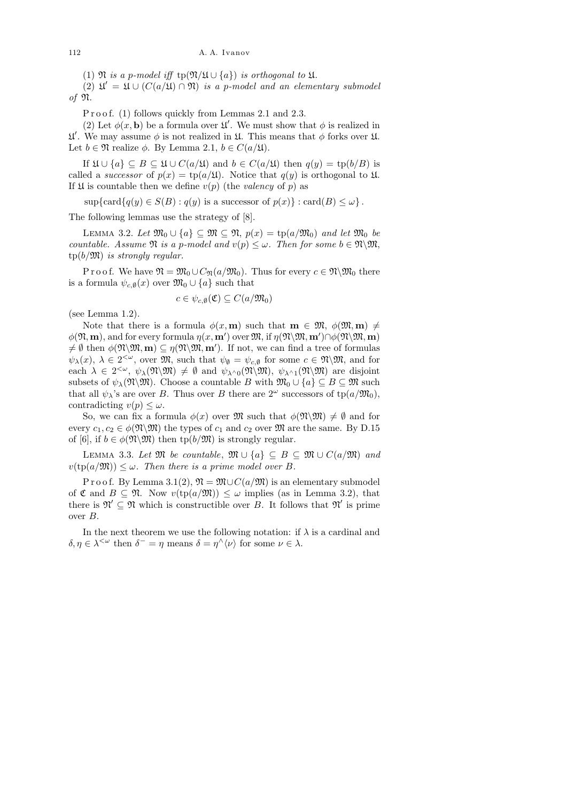(1)  $\Re$  is a p-model iff tp( $\Re/\mathfrak{U} \cup \{a\}$ ) is orthogonal to  $\mathfrak{U}$ .

(2)  $\mathfrak{U}' = \mathfrak{U} \cup (C(a/\mathfrak{U}) \cap \mathfrak{N})$  is a p-model and an elementary submodel of N.

P r o o f. (1) follows quickly from Lemmas 2.1 and 2.3.

(2) Let  $\phi(x, \mathbf{b})$  be a formula over  $\mathfrak{U}'$ . We must show that  $\phi$  is realized in  $\mathfrak{U}'$ . We may assume  $\phi$  is not realized in  $\mathfrak{U}$ . This means that  $\phi$  forks over  $\mathfrak{U}$ . Let  $b \in \mathfrak{N}$  realize  $\phi$ . By Lemma 2.1,  $b \in C(a/\mathfrak{U})$ .

If  $\mathfrak{U} \cup \{a\} \subseteq B \subseteq \mathfrak{U} \cup C(a/\mathfrak{U})$  and  $b \in C(a/\mathfrak{U})$  then  $q(y) = \text{tp}(b/B)$  is called a *successor* of  $p(x) = \text{tp}(a/\mathfrak{U})$ . Notice that  $q(y)$  is orthogonal to  $\mathfrak{U}$ . If  $\mathfrak U$  is countable then we define  $v(p)$  (the valency of p) as

 $\sup{\mathrm{card}\lbrace q(y)\in S(B) : q(y) \text{ is a successor of } p(x)\rbrace : \mathrm{card}(B) \leq \omega\rbrace.$ 

The following lemmas use the strategy of [8].

LEMMA 3.2. Let  $\mathfrak{M}_0 \cup \{a\} \subseteq \mathfrak{M} \subseteq \mathfrak{N}, p(x) = \text{tp}(a/\mathfrak{M}_0)$  and let  $\mathfrak{M}_0$  be countable. Assume  $\mathfrak{N}$  is a p-model and  $v(p) \leq \omega$ . Then for some  $b \in \mathfrak{N} \backslash \mathfrak{M}$ ,  $tp(b/\mathfrak{M})$  is strongly regular.

P r o o f. We have  $\mathfrak{N} = \mathfrak{M}_0 \cup C_{\mathfrak{N}}(a/\mathfrak{M}_0)$ . Thus for every  $c \in \mathfrak{N} \backslash \mathfrak{M}_0$  there is a formula  $\psi_{c,\emptyset}(x)$  over  $\mathfrak{M}_0 \cup \{a\}$  such that

$$
c \in \psi_{c,\emptyset}(\mathfrak{C}) \subseteq C(a/\mathfrak{M}_0)
$$

(see Lemma 1.2).

Note that there is a formula  $\phi(x, \mathbf{m})$  such that  $\mathbf{m} \in \mathfrak{M}, \phi(\mathfrak{M}, \mathbf{m}) \neq$  $\phi(\mathfrak{N}, \mathbf{m})$ , and for every formula  $\eta(x, \mathbf{m}')$  over  $\mathfrak{M}$ , if  $\eta(\mathfrak{N}\backslash\mathfrak{M}, \mathbf{m}') \cap \phi(\mathfrak{N}\backslash\mathfrak{M}, \mathbf{m})$  $\neq \emptyset$  then  $\phi(\mathfrak{M}, \mathbf{m}) \subseteq \eta(\mathfrak{M}, \mathbf{m}')$ . If not, we can find a tree of formulas  $\psi_{\lambda}(x), \ \lambda \in 2^{<\omega}$ , over  $\mathfrak{M}$ , such that  $\psi_{\emptyset} = \psi_{c,\emptyset}$  for some  $c \in \mathfrak{N} \backslash \mathfrak{M}$ , and for each  $\lambda \in 2^{<\omega}$ ,  $\psi_{\lambda}(\mathfrak{N}\backslash\mathfrak{M}) \neq \emptyset$  and  $\psi_{\lambda^{\wedge}0}(\mathfrak{N}\backslash\mathfrak{M})$ ,  $\psi_{\lambda^{\wedge}1}(\mathfrak{N}\backslash\mathfrak{M})$  are disjoint subsets of  $\psi_{\lambda}(\mathfrak{M}\backslash\mathfrak{M})$ . Choose a countable B with  $\mathfrak{M}_0\cup\{a\}\subseteq B\subseteq \mathfrak{M}$  such that all  $\psi_{\lambda}$ 's are over B. Thus over B there are  $2^{\omega}$  successors of tp( $a/\mathfrak{M}_0$ ), contradicting  $v(p) \leq \omega$ .

So, we can fix a formula  $\phi(x)$  over  $\mathfrak{M}$  such that  $\phi(\mathfrak{N}\backslash\mathfrak{M})\neq\emptyset$  and for every  $c_1, c_2 \in \phi(\mathfrak{M}\backslash\mathfrak{M})$  the types of  $c_1$  and  $c_2$  over  $\mathfrak{M}$  are the same. By D.15 of [6], if  $b \in \phi(\mathfrak{N}\backslash\mathfrak{M})$  then tp $(b/\mathfrak{M})$  is strongly regular.

LEMMA 3.3. Let  $\mathfrak{M}$  be countable,  $\mathfrak{M} \cup \{a\} \subseteq B \subseteq \mathfrak{M} \cup C(a/\mathfrak{M})$  and  $v(\text{tp}(a/\mathfrak{M})) \leq \omega$ . Then there is a prime model over B.

P r o o f. By Lemma 3.1(2),  $\mathfrak{N} = \mathfrak{M} \cup C(a/\mathfrak{M})$  is an elementary submodel of  $\mathfrak{C}$  and  $B \subseteq \mathfrak{N}$ . Now  $v(\text{tp}(a/\mathfrak{M})) \leq \omega$  implies (as in Lemma 3.2), that there is  $\mathfrak{N}' \subseteq \mathfrak{N}$  which is constructible over B. It follows that  $\mathfrak{N}'$  is prime over B.

In the next theorem we use the following notation: if  $\lambda$  is a cardinal and  $\delta, \eta \in \lambda^{\leq \omega}$  then  $\delta^- = \eta$  means  $\delta = \eta^\wedge \langle \nu \rangle$  for some  $\nu \in \lambda$ .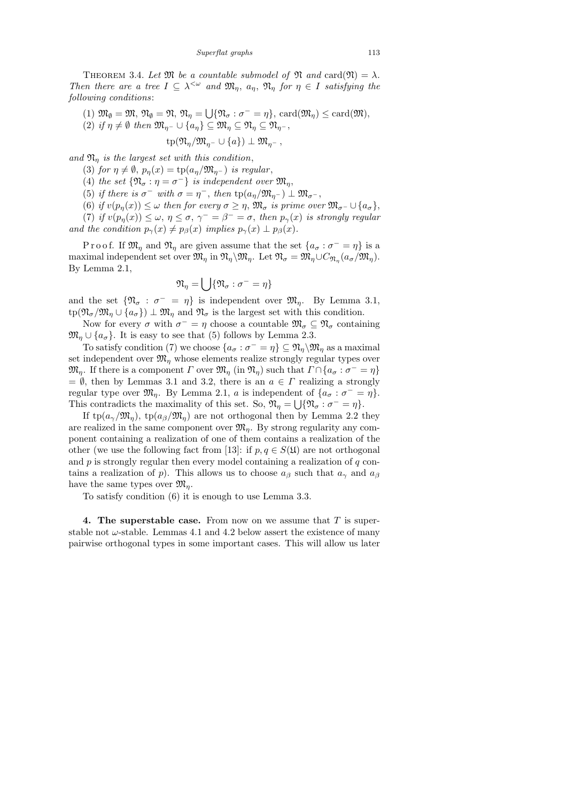THEOREM 3.4. Let  $\mathfrak{M}$  be a countable submodel of  $\mathfrak{N}$  and card $(\mathfrak{N}) = \lambda$ . Then there are a tree  $I \subseteq \lambda^{\leq \omega}$  and  $\mathfrak{M}_{\eta}$ ,  $a_{\eta}$ ,  $\mathfrak{N}_{\eta}$  for  $\eta \in I$  satisfying the following conditions:

- (1)  $\mathfrak{M}_{\emptyset} = \mathfrak{M}, \, \mathfrak{N}_{\emptyset} = \mathfrak{N}, \, \mathfrak{N}_{\eta} = \bigcup \{ \mathfrak{N}_{\sigma} : \sigma^{-} = \eta \}, \, \text{card}(\mathfrak{M}_{\eta}) \leq \text{card}(\mathfrak{M}),$
- (2) if  $\eta \neq \emptyset$  then  $\mathfrak{M}_{\eta^-} \cup \{a_{\eta}\}\subseteq \mathfrak{M}_{\eta} \subseteq \mathfrak{N}_{\eta} \subseteq \mathfrak{N}_{\eta^-}$ ,
	- $tp(\mathfrak{N}_n/\mathfrak{M}_{n-}\cup\{a\})\perp \mathfrak{M}_{n-}$ ,

and  $\mathfrak{N}_\eta$  is the largest set with this condition,

- (3) for  $\eta \neq \emptyset$ ,  $p_n(x) = \text{tp}(a_n/\mathfrak{M}_{n-})$  is regular,
- (4) the set  $\{\mathfrak{N}_{\sigma} : \eta = \sigma^{-}\}\$ is independent over  $\mathfrak{M}_{\eta}$ ,
- (5) if there is  $\sigma^-$  with  $\sigma = \eta^-$ , then  $tp(a_{\eta}/\mathfrak{M}_{\eta^-}) \perp \mathfrak{M}_{\sigma^-}$ ,
- (6) if  $v(p_n(x)) \leq \omega$  then for every  $\sigma \geq \eta$ ,  $\mathfrak{M}_{\sigma}$  is prime over  $\mathfrak{M}_{\sigma}$   $\cup$   $\{a_{\sigma}\}\$ ,
- (7) if  $v(p_{\eta}(x)) \leq \omega, \eta \leq \sigma, \gamma^{-} = \beta^{-} = \sigma$ , then  $p_{\gamma}(x)$  is strongly regular and the condition  $p_{\gamma}(x) \neq p_{\beta}(x)$  implies  $p_{\gamma}(x) \perp p_{\beta}(x)$ .

P r o o f. If  $\mathfrak{M}_{\eta}$  and  $\mathfrak{N}_{\eta}$  are given assume that the set  $\{a_{\sigma} : \sigma^{-} = \eta\}$  is a maximal independent set over  $\mathfrak{M}_{\eta}$  in  $\mathfrak{N}_{\eta}\setminus \mathfrak{M}_{\eta}$ . Let  $\mathfrak{N}_{\sigma} = \mathfrak{M}_{\eta}\cup C_{\mathfrak{N}_{\eta}}(a_{\sigma}/\mathfrak{M}_{\eta})$ . By Lemma 2.1,

$$
\mathfrak{N}_{\eta} = \bigcup \{ \mathfrak{N}_{\sigma} : \sigma^{-} = \eta \}
$$

and the set  $\{\mathfrak{N}_{\sigma} : \sigma^- = \eta\}$  is independent over  $\mathfrak{M}_{\eta}$ . By Lemma 3.1,  $\text{tp}(\mathfrak{N}_{\sigma}/\mathfrak{M}_{\eta} \cup \{a_{\sigma}\}) \perp \mathfrak{M}_{\eta}$  and  $\mathfrak{N}_{\sigma}$  is the largest set with this condition.

Now for every  $\sigma$  with  $\sigma^- = \eta$  choose a countable  $\mathfrak{M}_{\sigma} \subseteq \mathfrak{N}_{\sigma}$  containing  $\mathfrak{M}_n \cup \{a_{\sigma}\}\$ . It is easy to see that (5) follows by Lemma 2.3.

To satisfy condition (7) we choose  $\{a_{\sigma} : \sigma^{-} = \eta\} \subseteq \mathfrak{N}_{\eta} \backslash \mathfrak{M}_{\eta}$  as a maximal set independent over  $\mathfrak{M}_n$  whose elements realize strongly regular types over  $\mathfrak{M}_{\eta}$ . If there is a component  $\Gamma$  over  $\mathfrak{M}_{\eta}$  (in  $\mathfrak{N}_{\eta}$ ) such that  $\Gamma \cap \{a_{\sigma} : \sigma^{-} = \eta\}$  $= \emptyset$ , then by Lemmas 3.1 and 3.2, there is an  $a \in \Gamma$  realizing a strongly regular type over  $\mathfrak{M}_{\eta}$ . By Lemma 2.1, a is independent of  $\{a_{\sigma} : \sigma^{-} = \eta\}.$ This contradicts the maximality of this set. So,  $\mathfrak{N}_{\eta} = \bigcup \{ \mathfrak{N}_{\sigma} : \sigma^{-} = \eta \}.$ 

If tp( $a_{\gamma}/\mathfrak{M}_{\eta}$ ), tp( $a_{\beta}/\mathfrak{M}_{\eta}$ ) are not orthogonal then by Lemma 2.2 they are realized in the same component over  $\mathfrak{M}_\eta$ . By strong regularity any component containing a realization of one of them contains a realization of the other (we use the following fact from [13]: if  $p, q \in S(\mathfrak{U})$  are not orthogonal and  $p$  is strongly regular then every model containing a realization of  $q$  contains a realization of p). This allows us to choose  $a_{\beta}$  such that  $a_{\gamma}$  and  $a_{\beta}$ have the same types over  $\mathfrak{M}_n$ .

To satisfy condition (6) it is enough to use Lemma 3.3.

4. The superstable case. From now on we assume that  $T$  is superstable not  $\omega$ -stable. Lemmas 4.1 and 4.2 below assert the existence of many pairwise orthogonal types in some important cases. This will allow us later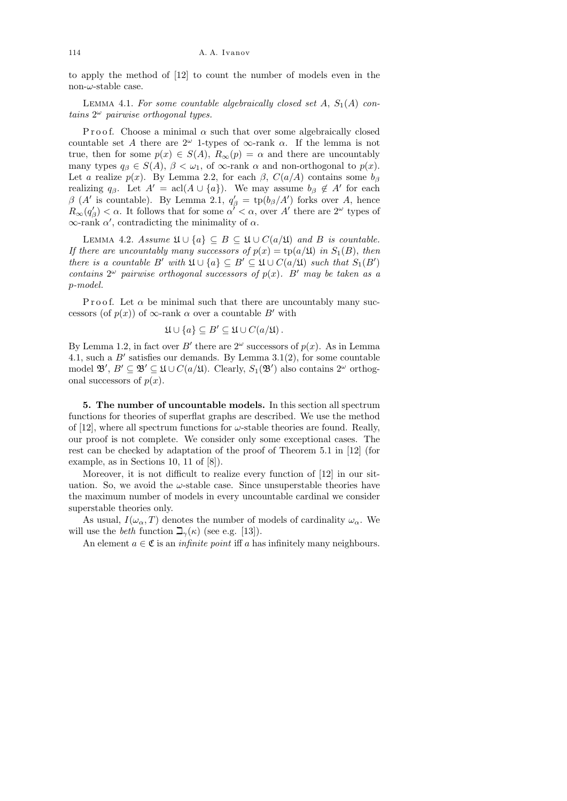to apply the method of [12] to count the number of models even in the non- $\omega$ -stable case.

LEMMA 4.1. For some countable algebraically closed set  $A$ ,  $S_1(A)$  contains  $2^{\omega}$  pairwise orthogonal types.

P r o o f. Choose a minimal  $\alpha$  such that over some algebraically closed countable set A there are  $2^{\omega}$  1-types of  $\infty$ -rank  $\alpha$ . If the lemma is not true, then for some  $p(x) \in S(A)$ ,  $R_{\infty}(p) = \alpha$  and there are uncountably many types  $q_\beta \in S(A)$ ,  $\beta < \omega_1$ , of  $\infty$ -rank  $\alpha$  and non-orthogonal to  $p(x)$ . Let a realize  $p(x)$ . By Lemma 2.2, for each  $\beta$ ,  $C(a/A)$  contains some  $b_{\beta}$ realizing  $q_{\beta}$ . Let  $A' = \operatorname{acl}(A \cup \{a\})$ . We may assume  $b_{\beta} \notin A'$  for each  $\beta$  (A' is countable). By Lemma 2.1,  $q'_{\beta} = \text{tp}(b_{\beta}/A')$  forks over A, hence  $R_{\infty}(q_{\beta}') < \alpha$ . It follows that for some  $\alpha' < \alpha$ , over A' there are  $2^{\omega}$  types of  $\infty$ -rank  $\alpha'$ , contradicting the minimality of  $\alpha$ .

LEMMA 4.2. Assume  $\mathfrak{U} \cup \{a\} \subseteq B \subseteq \mathfrak{U} \cup C(a/\mathfrak{U})$  and B is countable. If there are uncountably many successors of  $p(x) = \text{tp}(a/\mathfrak{U})$  in  $S_1(B)$ , then there is a countable B' with  $\mathfrak{U} \cup \{a\} \subseteq B' \subseteq \mathfrak{U} \cup C(a/\mathfrak{U})$  such that  $S_1(B')$ contains  $2^{\omega}$  pairwise orthogonal successors of  $p(x)$ . B' may be taken as a p-model.

Proof. Let  $\alpha$  be minimal such that there are uncountably many successors (of  $p(x)$ ) of  $\infty$ -rank  $\alpha$  over a countable  $B'$  with

$$
\mathfrak{U}\cup\{a\}\subseteq B'\subseteq\mathfrak{U}\cup C(a/\mathfrak{U})\,.
$$

By Lemma 1.2, in fact over B' there are  $2^{\omega}$  successors of  $p(x)$ . As in Lemma 4.1, such a  $B'$  satisfies our demands. By Lemma 3.1(2), for some countable model  $\mathfrak{B}', B' \subseteq \mathfrak{B}' \subseteq \mathfrak{U} \cup C(a/\mathfrak{U})$ . Clearly,  $S_1(\mathfrak{B}')$  also contains  $2^\omega$  orthogonal successors of  $p(x)$ .

5. The number of uncountable models. In this section all spectrum functions for theories of superflat graphs are described. We use the method of [12], where all spectrum functions for  $\omega$ -stable theories are found. Really, our proof is not complete. We consider only some exceptional cases. The rest can be checked by adaptation of the proof of Theorem 5.1 in [12] (for example, as in Sections 10, 11 of [8]).

Moreover, it is not difficult to realize every function of [12] in our situation. So, we avoid the  $\omega$ -stable case. Since unsuperstable theories have the maximum number of models in every uncountable cardinal we consider superstable theories only.

As usual,  $I(\omega_{\alpha}, T)$  denotes the number of models of cardinality  $\omega_{\alpha}$ . We will use the *beth* function  $\mathbb{L}_{\gamma}(\kappa)$  (see e.g. [13]).

An element  $a \in \mathfrak{C}$  is an *infinite point* iff a has infinitely many neighbours.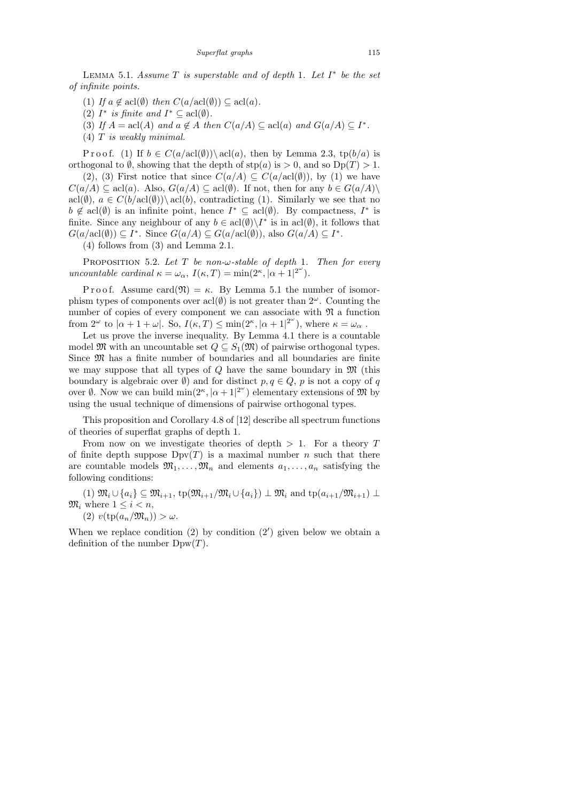LEMMA 5.1. Assume  $T$  is superstable and of depth 1. Let  $I^*$  be the set of infinite points.

(1) If  $a \notin \text{acl}(\emptyset)$  then  $C(a/\text{acl}(\emptyset)) \subseteq \text{acl}(a)$ .

- (2)  $I^*$  is finite and  $I^* \subseteq \operatorname{acl}(\emptyset)$ .
- (3) If  $A = \text{acl}(A)$  and  $a \notin A$  then  $C(a/A) \subseteq \text{acl}(a)$  and  $G(a/A) \subseteq I^*$ .
- $(4)$  T is weakly minimal.

P r o o f. (1) If  $b \in C(a/\text{acl}(\emptyset)) \setminus \text{acl}(a)$ , then by Lemma 2.3, tp $(b/a)$  is orthogonal to  $\emptyset$ , showing that the depth of  $\text{stp}(a)$  is  $> 0$ , and so  $\text{Dp}(T) > 1$ .

(2), (3) First notice that since  $C(a/A) \subseteq C(a/\text{acl}(\emptyset))$ , by (1) we have  $C(a/A) \subseteq \text{acl}(a)$ . Also,  $G(a/A) \subseteq \text{acl}(\emptyset)$ . If not, then for any  $b \in G(a/A)$ acl $(\emptyset)$ ,  $a \in C(b/\text{acl}(\emptyset)) \setminus \text{acl}(b)$ , contradicting (1). Similarly we see that no  $b \notin \text{acl}(\emptyset)$  is an infinite point, hence  $I^* \subseteq \text{acl}(\emptyset)$ . By compactness,  $I^*$  is finite. Since any neighbour of any  $b \in \text{acl}(\emptyset) \backslash I^*$  is in  $\text{acl}(\emptyset)$ , it follows that  $G(a/\text{acl}(\emptyset)) \subseteq I^*$ . Since  $G(a/A) \subseteq G(a/\text{acl}(\emptyset))$ , also  $G(a/A) \subseteq I^*$ .

(4) follows from (3) and Lemma 2.1.

PROPOSITION 5.2. Let  $T$  be non- $\omega$ -stable of depth 1. Then for every uncountable cardinal  $\kappa = \omega_{\alpha}, I(\kappa, T) = \min(2^{\kappa}, |\alpha + 1|^{2^{\omega}}).$ 

P r o o f. Assume card $(\mathfrak{N}) = \kappa$ . By Lemma 5.1 the number of isomorphism types of components over  $\text{acl}(\emptyset)$  is not greater than  $2^{\omega}$ . Counting the number of copies of every component we can associate with  $\mathfrak{N}$  a function from  $2^{\omega}$  to  $|\alpha + 1 + \omega|$ . So,  $I(\kappa, T) \le \min(2^{\kappa}, |\alpha + 1|^{2^{\omega}})$ , where  $\kappa = \omega_{\alpha}$ .

Let us prove the inverse inequality. By Lemma 4.1 there is a countable model  $\mathfrak{M}$  with an uncountable set  $Q \subseteq S_1(\mathfrak{M})$  of pairwise orthogonal types. Since  $\mathfrak M$  has a finite number of boundaries and all boundaries are finite we may suppose that all types of  $Q$  have the same boundary in  $\mathfrak{M}$  (this boundary is algebraic over  $\emptyset$ ) and for distinct  $p, q \in Q$ , p is not a copy of q over  $\emptyset$ . Now we can build  $\min(2^{\kappa}, |\alpha + 1|^{2^{\omega}})$  elementary extensions of  $\mathfrak{M}$  by using the usual technique of dimensions of pairwise orthogonal types.

This proposition and Corollary 4.8 of [12] describe all spectrum functions of theories of superflat graphs of depth 1.

From now on we investigate theories of depth  $> 1$ . For a theory T of finite depth suppose  $Dpy(T)$  is a maximal number n such that there are countable models  $\mathfrak{M}_1, \ldots, \mathfrak{M}_n$  and elements  $a_1, \ldots, a_n$  satisfying the following conditions:

(1)  $\mathfrak{M}_i \cup \{a_i\} \subseteq \mathfrak{M}_{i+1}$ ,  $\text{tp}(\mathfrak{M}_{i+1}/\mathfrak{M}_i \cup \{a_i\}) \perp \mathfrak{M}_i$  and  $\text{tp}(a_{i+1}/\mathfrak{M}_{i+1}) \perp$  $\mathfrak{M}_i$  where  $1 \leq i \leq n$ , (2)  $v(\text{tp}(a_n/\mathfrak{M}_n)) > \omega$ .

When we replace condition  $(2)$  by condition  $(2')$  given below we obtain a definition of the number  $Dpw(T)$ .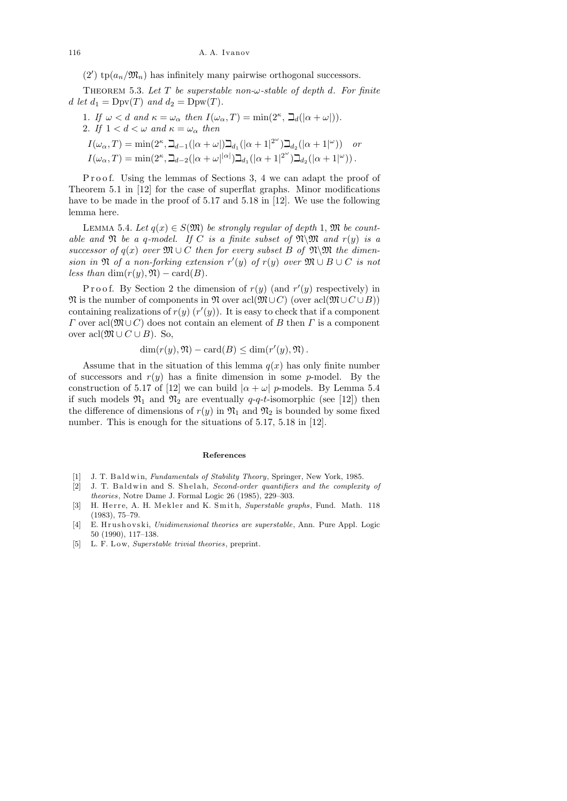(2')  $\text{tp}(a_n/\mathfrak{M}_n)$  has infinitely many pairwise orthogonal successors.

THEOREM 5.3. Let T be superstable non- $\omega$ -stable of depth d. For finite d let  $d_1 = \text{Dpv}(T)$  and  $d_2 = \text{Dpw}(T)$ .

1. If 
$$
\omega < d
$$
 and  $\kappa = \omega_{\alpha}$  then  $I(\omega_{\alpha}, T) = \min(2^{\kappa}, \Delta_d(|\alpha + \omega|)).$ 

2. If  $1 < d < \omega$  and  $\kappa = \omega_{\alpha}$  then

 $I(\omega_\alpha, T) = \min(2^\kappa, \beth_{d-1}(|\alpha + \omega|)\beth_{d_1}(|\alpha + 1|^{2^\omega})\beth_{d_2}(|\alpha + 1|^\omega))$  or  $I(\omega_\alpha, T) = \min(2^\kappa, \beth_{d-2}(|\alpha + \omega|^{|\alpha|})\beth_{d_1}(|\alpha + 1|^{2^\omega})\beth_{d_2}(|\alpha + 1|^\omega)).$ 

Proof. Using the lemmas of Sections 3, 4 we can adapt the proof of Theorem 5.1 in [12] for the case of superflat graphs. Minor modifications have to be made in the proof of 5.17 and 5.18 in [12]. We use the following lemma here.

LEMMA 5.4. Let  $q(x) \in S(\mathfrak{M})$  be strongly regular of depth 1,  $\mathfrak{M}$  be countable and  $\mathfrak N$  be a q-model. If C is a finite subset of  $\mathfrak N\backslash \mathfrak M$  and  $r(y)$  is a successor of  $q(x)$  over  $\mathfrak{M} \cup C$  then for every subset B of  $\mathfrak{N}\backslash \mathfrak{M}$  the dimension in  $\mathfrak{N}$  of a non-forking extension  $r'(y)$  of  $r(y)$  over  $\mathfrak{M} \cup B \cup C$  is not less than dim $(r(y), \mathfrak{N}) - \text{card}(B)$ .

Proof. By Section 2 the dimension of  $r(y)$  (and  $r'(y)$  respectively) in  $\mathfrak{N}$  is the number of components in  $\mathfrak{N}$  over acl $(\mathfrak{M}\cup C)$  (over acl $(\mathfrak{M}\cup C\cup B)$ ) containing realizations of  $r(y)$   $(r'(y))$ . It is easy to check that if a component  $Γ$  over acl $(\mathfrak{M} \cup C)$  does not contain an element of B then Γ is a component over acl $(\mathfrak{M} \cup C \cup B)$ . So,

$$
\dim(r(y), \mathfrak{N}) - \text{card}(B) \le \dim(r'(y), \mathfrak{N}).
$$

Assume that in the situation of this lemma  $q(x)$  has only finite number of successors and  $r(y)$  has a finite dimension in some p-model. By the construction of 5.17 of [12] we can build  $|\alpha + \omega|$  p-models. By Lemma 5.4 if such models  $\mathfrak{N}_1$  and  $\mathfrak{N}_2$  are eventually q-q-t-isomorphic (see [12]) then the difference of dimensions of  $r(y)$  in  $\mathfrak{N}_1$  and  $\mathfrak{N}_2$  is bounded by some fixed number. This is enough for the situations of  $5.17, 5.18$  in [12].

## **References**

- [1] J. T. B al dwi n, *Fundamentals of Stability Theory*, Springer, New York, 1985.
- [2] J. T. Baldwin and S. Shelah, *Second-order quantifiers and the complexity of theories*, Notre Dame J. Formal Logic 26 (1985), 229–303.
- [3] H. Herre, A. H. Mekler and K. Smith, *Superstable graphs*, Fund. Math. 118 (1983), 75–79.
- [4] E. Hrushovski, *Unidimensional theories are superstable*, Ann. Pure Appl. Logic 50 (1990), 117–138.
- [5] L. F. L ow, *Superstable trivial theories*, preprint.